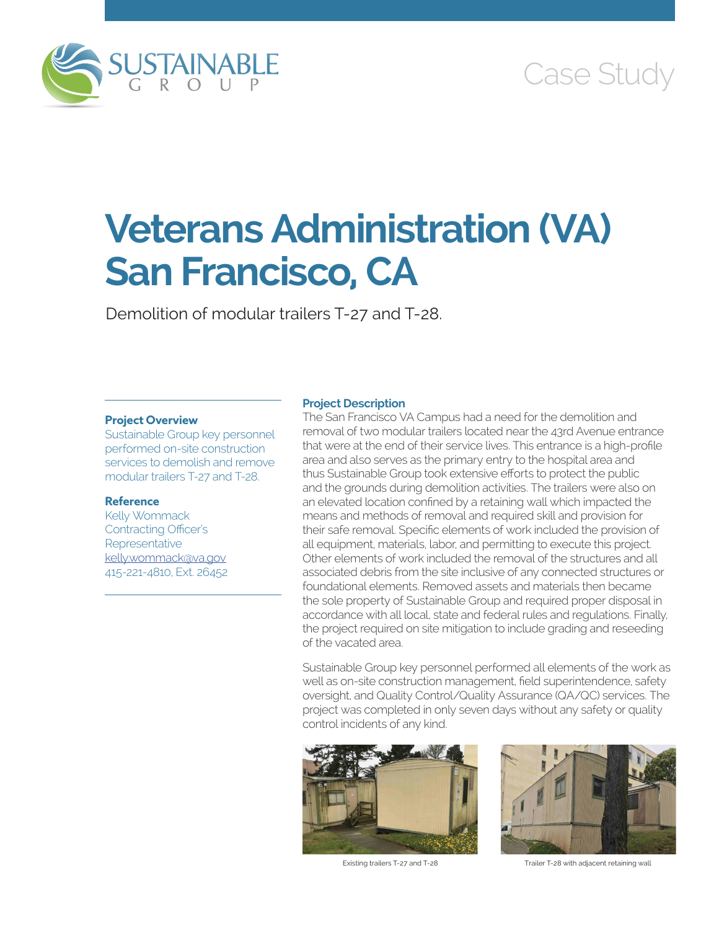

# Case Study

# **Veterans Administration (VA) San Francisco, CA**

Demolition of modular trailers T-27 and T-28.

### **Project Overview**

Sustainable Group key personnel performed on-site construction services to demolish and remove modular trailers T-27 and T-28.

## **Reference**

Kelly Wommack Contracting Officer's **Representative** [kelly.wommack@va.gov](mailto:kelly.wommack@va.gov) 415-221-4810, Ext. 26452

#### **Project Description**

The San Francisco VA Campus had a need for the demolition and removal of two modular trailers located near the 43rd Avenue entrance that were at the end of their service lives. This entrance is a high-profile area and also serves as the primary entry to the hospital area and thus Sustainable Group took extensive efforts to protect the public and the grounds during demolition activities. The trailers were also on an elevated location confined by a retaining wall which impacted the means and methods of removal and required skill and provision for their safe removal. Specific elements of work included the provision of all equipment, materials, labor, and permitting to execute this project. Other elements of work included the removal of the structures and all associated debris from the site inclusive of any connected structures or foundational elements. Removed assets and materials then became the sole property of Sustainable Group and required proper disposal in accordance with all local, state and federal rules and regulations. Finally, the project required on site mitigation to include grading and reseeding of the vacated area.

Sustainable Group key personnel performed all elements of the work as well as on-site construction management, field superintendence, safety oversight, and Quality Control/Quality Assurance (QA/QC) services. The project was completed in only seven days without any safety or quality control incidents of any kind.





Existing trailers T-27 and T-28 Trailer T-28 with adjacent retaining wall